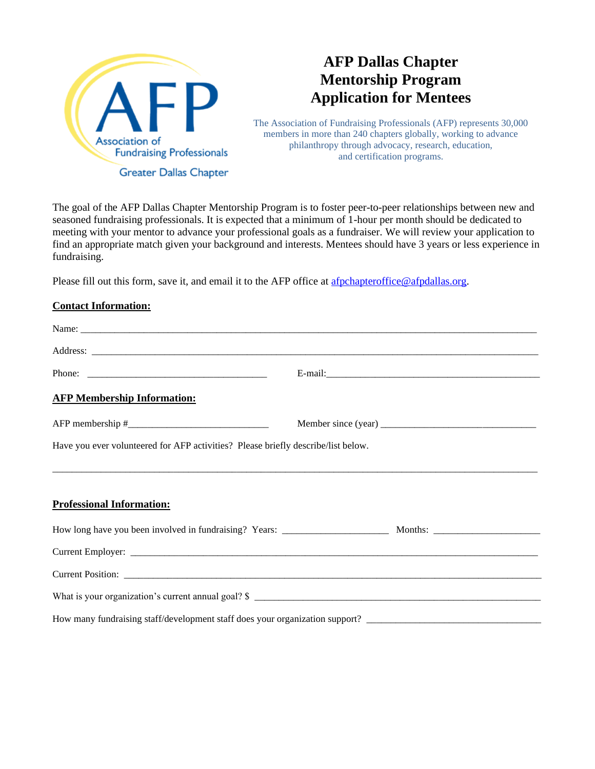

## **AFP Dallas Chapter Mentorship Program Application for Mentees**

The Association of Fundraising Professionals (AFP) represents 30,000 members in more than 240 chapters globally, working to advance philanthropy through advocacy, research, education, and certification programs.

The goal of the AFP Dallas Chapter Mentorship Program is to foster peer-to-peer relationships between new and seasoned fundraising professionals. It is expected that a minimum of 1-hour per month should be dedicated to meeting with your mentor to advance your professional goals as a fundraiser. We will review your application to find an appropriate match given your background and interests. Mentees should have 3 years or less experience in fundraising.

Please fill out this form, save it, and email it to the AFP office at [afpchapteroffice@afpdallas.org.](mailto:afpchapteroffice@afpdallas.org)

## **Contact Information:**

|                                                                                   | Address: <u>and a series of the series of the series of the series of the series of the series of the series of the series of the series of the series of the series of the series of the series of the series of the series of </u> |
|-----------------------------------------------------------------------------------|--------------------------------------------------------------------------------------------------------------------------------------------------------------------------------------------------------------------------------------|
|                                                                                   |                                                                                                                                                                                                                                      |
| <b>AFP Membership Information:</b>                                                |                                                                                                                                                                                                                                      |
|                                                                                   |                                                                                                                                                                                                                                      |
| Have you ever volunteered for AFP activities? Please briefly describe/list below. |                                                                                                                                                                                                                                      |
|                                                                                   |                                                                                                                                                                                                                                      |
|                                                                                   |                                                                                                                                                                                                                                      |
| <b>Professional Information:</b>                                                  |                                                                                                                                                                                                                                      |
|                                                                                   |                                                                                                                                                                                                                                      |
|                                                                                   |                                                                                                                                                                                                                                      |
|                                                                                   |                                                                                                                                                                                                                                      |
|                                                                                   |                                                                                                                                                                                                                                      |
|                                                                                   |                                                                                                                                                                                                                                      |